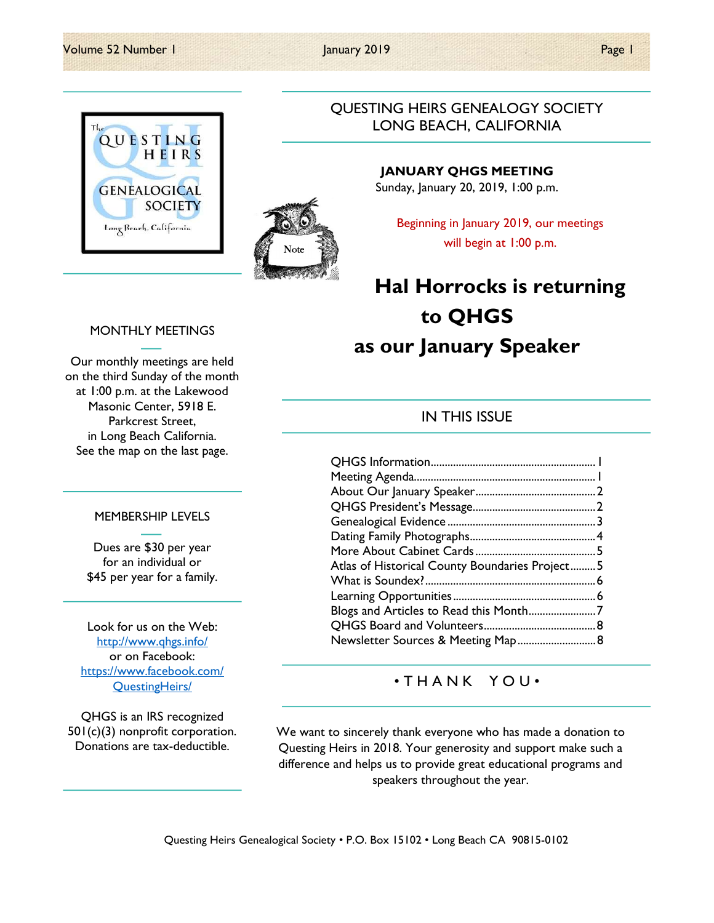#### Volume 52 Number 1 January 2019 **Page 1** January 2019





### QUESTING HEIRS GENEALOGY SOCIETY LONG BEACH, CALIFORNIA

JANUARY QHGS MEETING Sunday, January 20, 2019, 1:00 p.m.

Beginning in January 2019, our meetings will begin at 1:00 p.m.

# Hal Horrocks is returning to QHGS as our January Speaker

### IN THIS ISSUE

| Atlas of Historical County Boundaries Project 5 |  |
|-------------------------------------------------|--|
|                                                 |  |
|                                                 |  |
| Blogs and Articles to Read this Month7          |  |
|                                                 |  |
| Newsletter Sources & Meeting Map 8              |  |

### • T H A N K Y O U •

We want to sincerely thank everyone who has made a donation to Questing Heirs in 2018. Your generosity and support make such a difference and helps us to provide great educational programs and speakers throughout the year.

#### MONTHLY MEETINGS

Our monthly meetings are held on the third Sunday of the month at 1:00 p.m. at the Lakewood Masonic Center, 5918 E. Parkcrest Street, in Long Beach California. See the map on the last page.

#### MEMBERSHIP LEVELS

Dues are \$30 per year for an individual or \$45 per year for a family.

Look for us on the Web: http://www.qhgs.info/ or on Facebook: https://www.facebook.com/ QuestingHeirs/

QHGS is an IRS recognized 501(c)(3) nonprofit corporation. Donations are tax-deductible.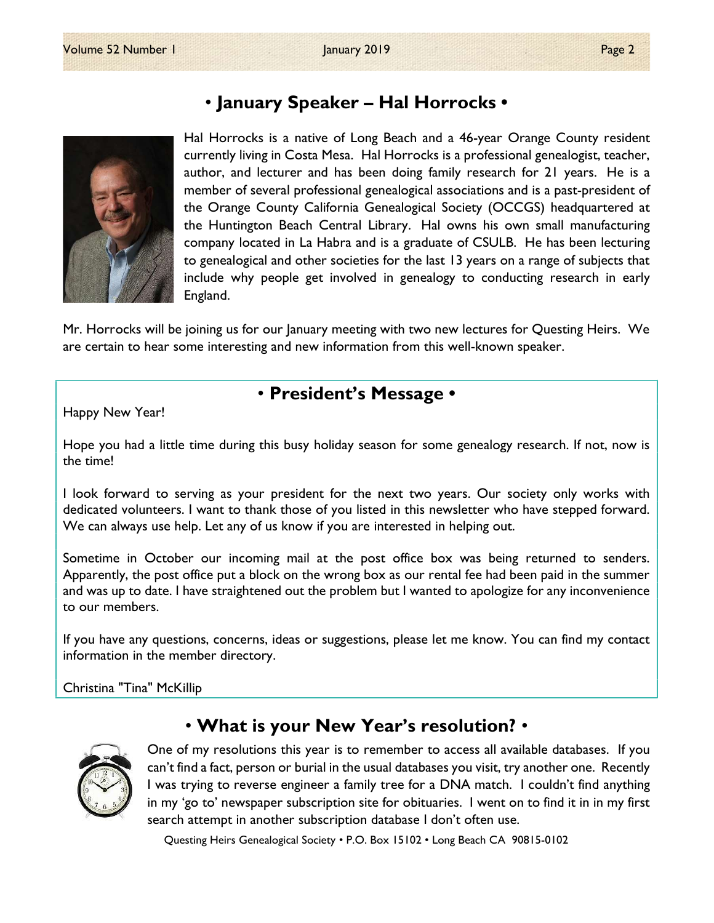

## • January Speaker – Hal Horrocks •

Hal Horrocks is a native of Long Beach and a 46-year Orange County resident currently living in Costa Mesa. Hal Horrocks is a professional genealogist, teacher, author, and lecturer and has been doing family research for 21 years. He is a member of several professional genealogical associations and is a past-president of the Orange County California Genealogical Society (OCCGS) headquartered at the Huntington Beach Central Library. Hal owns his own small manufacturing company located in La Habra and is a graduate of CSULB. He has been lecturing to genealogical and other societies for the last 13 years on a range of subjects that include why people get involved in genealogy to conducting research in early England.

Mr. Horrocks will be joining us for our January meeting with two new lectures for Questing Heirs. We are certain to hear some interesting and new information from this well-known speaker.

## • President's Message •

Happy New Year!

Hope you had a little time during this busy holiday season for some genealogy research. If not, now is the time!

I look forward to serving as your president for the next two years. Our society only works with dedicated volunteers. I want to thank those of you listed in this newsletter who have stepped forward. We can always use help. Let any of us know if you are interested in helping out.

Sometime in October our incoming mail at the post office box was being returned to senders. Apparently, the post office put a block on the wrong box as our rental fee had been paid in the summer and was up to date. I have straightened out the problem but I wanted to apologize for any inconvenience to our members.

If you have any questions, concerns, ideas or suggestions, please let me know. You can find my contact information in the member directory.

Christina "Tina" McKillip



## • What is your New Year's resolution? •

One of my resolutions this year is to remember to access all available databases. If you can't find a fact, person or burial in the usual databases you visit, try another one. Recently I was trying to reverse engineer a family tree for a DNA match. I couldn't find anything in my 'go to' newspaper subscription site for obituaries. I went on to find it in in my first search attempt in another subscription database I don't often use.

Questing Heirs Genealogical Society • P.O. Box 15102 • Long Beach CA 90815-0102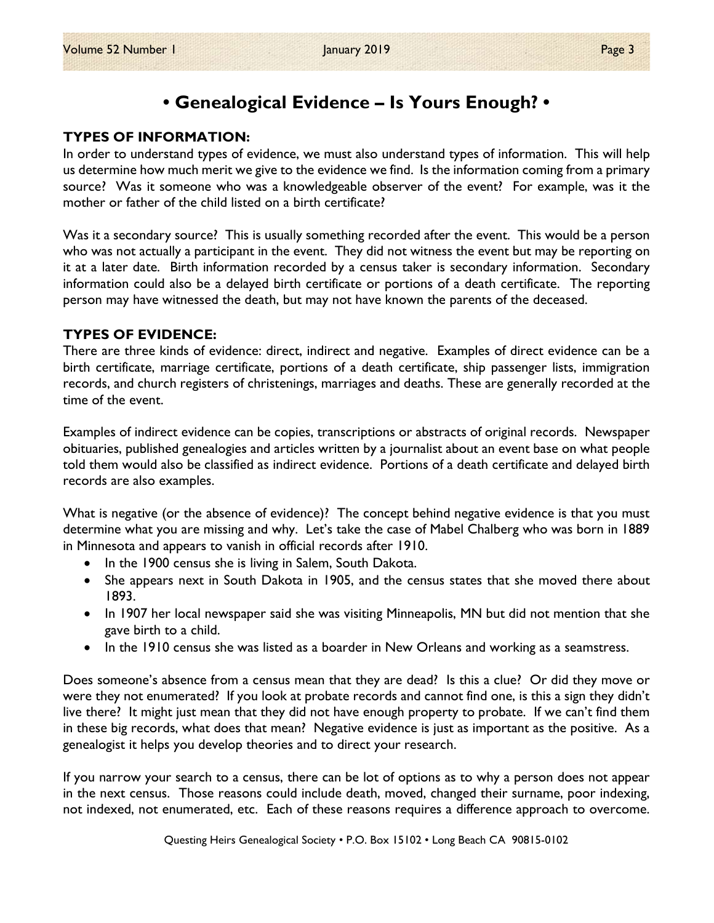## • Genealogical Evidence – Is Yours Enough? •

### TYPES OF INFORMATION:

In order to understand types of evidence, we must also understand types of information. This will help us determine how much merit we give to the evidence we find. Is the information coming from a primary source? Was it someone who was a knowledgeable observer of the event? For example, was it the mother or father of the child listed on a birth certificate?

Was it a secondary source? This is usually something recorded after the event. This would be a person who was not actually a participant in the event. They did not witness the event but may be reporting on it at a later date. Birth information recorded by a census taker is secondary information. Secondary information could also be a delayed birth certificate or portions of a death certificate. The reporting person may have witnessed the death, but may not have known the parents of the deceased.

### TYPES OF EVIDENCE:

There are three kinds of evidence: direct, indirect and negative. Examples of direct evidence can be a birth certificate, marriage certificate, portions of a death certificate, ship passenger lists, immigration records, and church registers of christenings, marriages and deaths. These are generally recorded at the time of the event.

Examples of indirect evidence can be copies, transcriptions or abstracts of original records. Newspaper obituaries, published genealogies and articles written by a journalist about an event base on what people told them would also be classified as indirect evidence. Portions of a death certificate and delayed birth records are also examples.

What is negative (or the absence of evidence)? The concept behind negative evidence is that you must determine what you are missing and why. Let's take the case of Mabel Chalberg who was born in 1889 in Minnesota and appears to vanish in official records after 1910.

- In the 1900 census she is living in Salem, South Dakota.
- She appears next in South Dakota in 1905, and the census states that she moved there about 1893.
- In 1907 her local newspaper said she was visiting Minneapolis, MN but did not mention that she gave birth to a child.
- In the 1910 census she was listed as a boarder in New Orleans and working as a seamstress.

Does someone's absence from a census mean that they are dead? Is this a clue? Or did they move or were they not enumerated? If you look at probate records and cannot find one, is this a sign they didn't live there? It might just mean that they did not have enough property to probate. If we can't find them in these big records, what does that mean? Negative evidence is just as important as the positive. As a genealogist it helps you develop theories and to direct your research.

If you narrow your search to a census, there can be lot of options as to why a person does not appear in the next census. Those reasons could include death, moved, changed their surname, poor indexing, not indexed, not enumerated, etc. Each of these reasons requires a difference approach to overcome.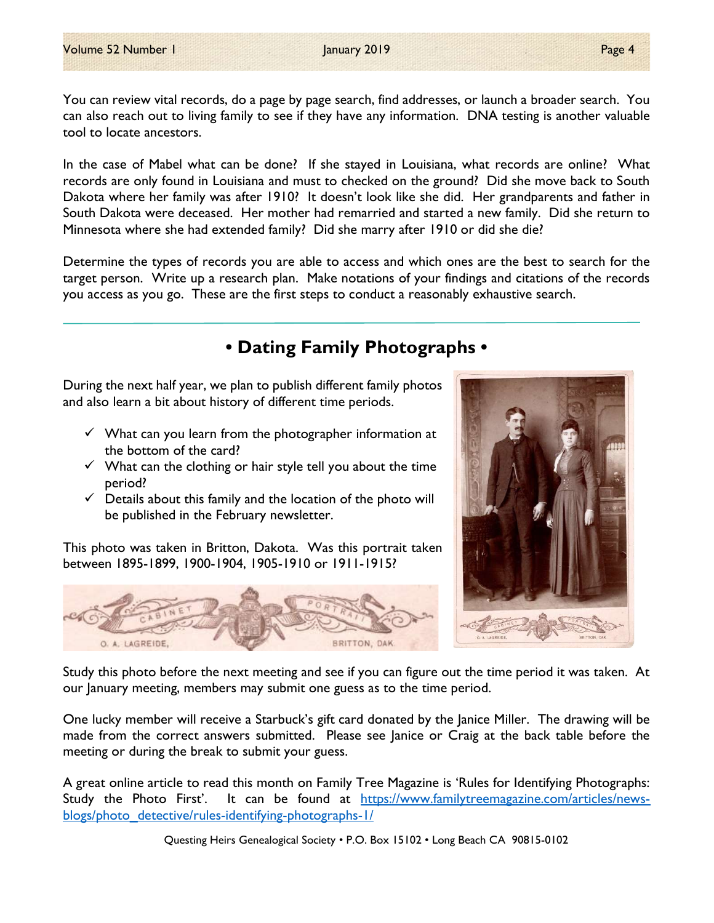You can review vital records, do a page by page search, find addresses, or launch a broader search. You can also reach out to living family to see if they have any information. DNA testing is another valuable tool to locate ancestors.

In the case of Mabel what can be done? If she stayed in Louisiana, what records are online? What records are only found in Louisiana and must to checked on the ground? Did she move back to South Dakota where her family was after 1910? It doesn't look like she did. Her grandparents and father in South Dakota were deceased. Her mother had remarried and started a new family. Did she return to Minnesota where she had extended family? Did she marry after 1910 or did she die?

Determine the types of records you are able to access and which ones are the best to search for the target person. Write up a research plan. Make notations of your findings and citations of the records you access as you go. These are the first steps to conduct a reasonably exhaustive search.

## • Dating Family Photographs •

During the next half year, we plan to publish different family photos and also learn a bit about history of different time periods.

- $\checkmark$  What can you learn from the photographer information at the bottom of the card?
- $\checkmark$  What can the clothing or hair style tell you about the time period?
- $\checkmark$  Details about this family and the location of the photo will be published in the February newsletter.

This photo was taken in Britton, Dakota. Was this portrait taken between 1895-1899, 1900-1904, 1905-1910 or 1911-1915?





Study this photo before the next meeting and see if you can figure out the time period it was taken. At our January meeting, members may submit one guess as to the time period.

One lucky member will receive a Starbuck's gift card donated by the Janice Miller. The drawing will be made from the correct answers submitted. Please see Janice or Craig at the back table before the meeting or during the break to submit your guess.

A great online article to read this month on Family Tree Magazine is 'Rules for Identifying Photographs: Study the Photo First'. It can be found at https://www.familytreemagazine.com/articles/newsblogs/photo\_detective/rules-identifying-photographs-1/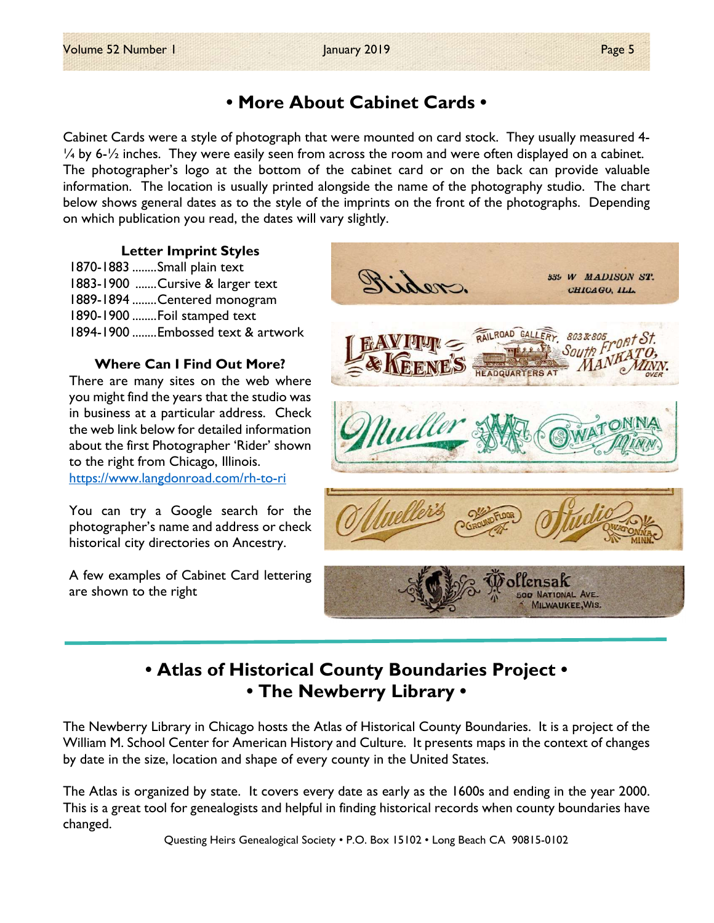## • More About Cabinet Cards •

Cabinet Cards were a style of photograph that were mounted on card stock. They usually measured 4-  $\frac{1}{4}$  by 6- $\frac{1}{2}$  inches. They were easily seen from across the room and were often displayed on a cabinet. The photographer's logo at the bottom of the cabinet card or on the back can provide valuable information. The location is usually printed alongside the name of the photography studio. The chart below shows general dates as to the style of the imprints on the front of the photographs. Depending on which publication you read, the dates will vary slightly.

#### Letter Imprint Styles

1870-1883 ........ Small plain text 1883-1900 ....... Cursive & larger text 1889-1894 ........ Centered monogram 1890-1900 ........ Foil stamped text 1894-1900 ........ Embossed text & artwork

### Where Can I Find Out More?

There are many sites on the web where you might find the years that the studio was in business at a particular address. Check the web link below for detailed information about the first Photographer 'Rider' shown to the right from Chicago, Illinois. https://www.langdonroad.com/rh-to-ri

You can try a Google search for the photographer's name and address or check historical city directories on Ancestry.

A few examples of Cabinet Card lettering are shown to the right



## • Atlas of Historical County Boundaries Project • • The Newberry Library •

The Newberry Library in Chicago hosts the Atlas of Historical County Boundaries. It is a project of the William M. School Center for American History and Culture. It presents maps in the context of changes by date in the size, location and shape of every county in the United States.

The Atlas is organized by state. It covers every date as early as the 1600s and ending in the year 2000. This is a great tool for genealogists and helpful in finding historical records when county boundaries have changed.

Questing Heirs Genealogical Society • P.O. Box 15102 • Long Beach CA 90815-0102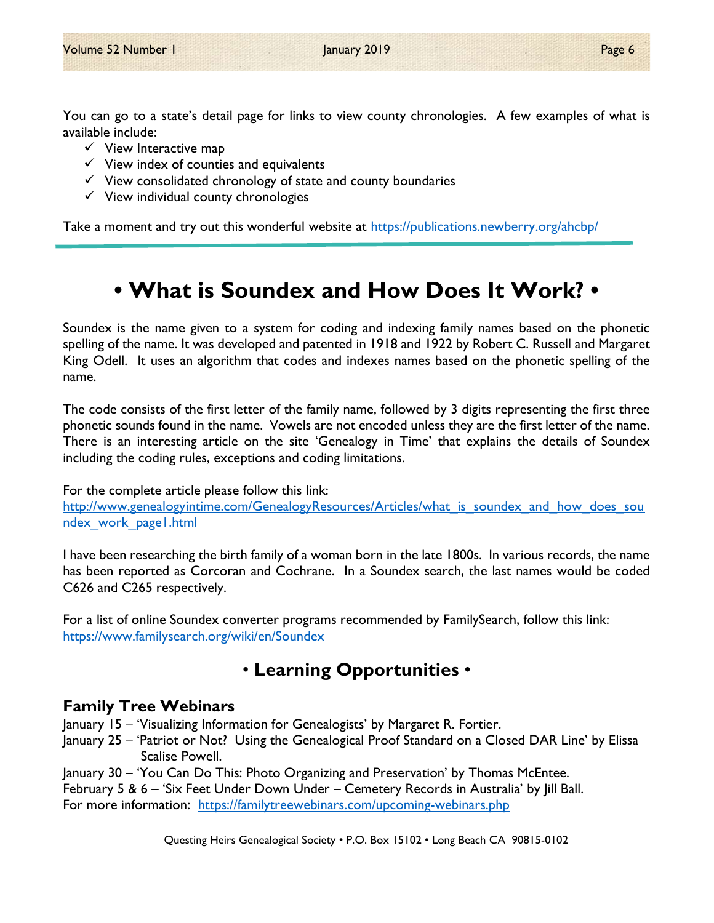You can go to a state's detail page for links to view county chronologies. A few examples of what is available include:

- $\checkmark$  View Interactive map
- $\checkmark$  View index of counties and equivalents
- $\checkmark$  View consolidated chronology of state and county boundaries
- $\checkmark$  View individual county chronologies

Take a moment and try out this wonderful website at https://publications.newberry.org/ahcbp/

# • What is Soundex and How Does It Work? •

Soundex is the name given to a system for coding and indexing family names based on the phonetic spelling of the name. It was developed and patented in 1918 and 1922 by Robert C. Russell and Margaret King Odell. It uses an algorithm that codes and indexes names based on the phonetic spelling of the name.

The code consists of the first letter of the family name, followed by 3 digits representing the first three phonetic sounds found in the name. Vowels are not encoded unless they are the first letter of the name. There is an interesting article on the site 'Genealogy in Time' that explains the details of Soundex including the coding rules, exceptions and coding limitations.

For the complete article please follow this link:

http://www.genealogyintime.com/GenealogyResources/Articles/what is soundex and how does sou ndex\_work\_page1.html

I have been researching the birth family of a woman born in the late 1800s. In various records, the name has been reported as Corcoran and Cochrane. In a Soundex search, the last names would be coded C626 and C265 respectively.

For a list of online Soundex converter programs recommended by FamilySearch, follow this link: https://www.familysearch.org/wiki/en/Soundex

## • Learning Opportunities •

### Family Tree Webinars

January 15 – 'Visualizing Information for Genealogists' by Margaret R. Fortier.

- January 25 'Patriot or Not? Using the Genealogical Proof Standard on a Closed DAR Line' by Elissa Scalise Powell.
- January 30 'You Can Do This: Photo Organizing and Preservation' by Thomas McEntee.

February 5 & 6 – 'Six Feet Under Down Under – Cemetery Records in Australia' by |ill Ball. For more information: https://familytreewebinars.com/upcoming-webinars.php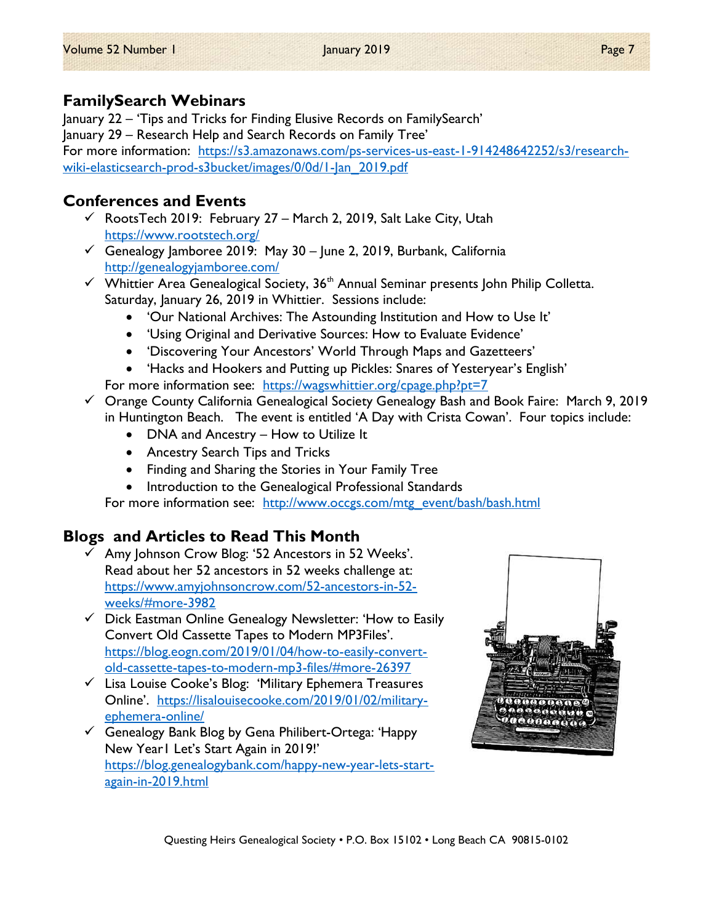## FamilySearch Webinars

January 22 – 'Tips and Tricks for Finding Elusive Records on FamilySearch' January 29 – Research Help and Search Records on Family Tree' For more information: https://s3.amazonaws.com/ps-services-us-east-1-914248642252/s3/researchwiki-elasticsearch-prod-s3bucket/images/0/0d/1-Jan\_2019.pdf

## Conferences and Events

- $\checkmark$  RootsTech 2019: February 27 March 2, 2019, Salt Lake City, Utah https://www.rootstech.org/
- $\checkmark$  Genealogy Jamboree 2019: May 30 June 2, 2019, Burbank, California http://genealogyjamboree.com/
- $\checkmark$  Whittier Area Genealogical Society, 36<sup>th</sup> Annual Seminar presents John Philip Colletta. Saturday, January 26, 2019 in Whittier. Sessions include:
	- 'Our National Archives: The Astounding Institution and How to Use It'
	- 'Using Original and Derivative Sources: How to Evaluate Evidence'
	- 'Discovering Your Ancestors' World Through Maps and Gazetteers'
	- 'Hacks and Hookers and Putting up Pickles: Snares of Yesteryear's English'
	- For more information see: https://wagswhittier.org/cpage.php?pt=7
- $\checkmark$  Orange County California Genealogical Society Genealogy Bash and Book Faire: March 9, 2019 in Huntington Beach. The event is entitled 'A Day with Crista Cowan'. Four topics include:
	- DNA and Ancestry How to Utilize It
	- Ancestry Search Tips and Tricks
	- Finding and Sharing the Stories in Your Family Tree
	- Introduction to the Genealogical Professional Standards

For more information see: http://www.occgs.com/mtg\_event/bash/bash.html

## Blogs and Articles to Read This Month

- $\checkmark$  Amy Johnson Crow Blog: '52 Ancestors in 52 Weeks'. Read about her 52 ancestors in 52 weeks challenge at: https://www.amyjohnsoncrow.com/52-ancestors-in-52 weeks/#more-3982
- $\checkmark$  Dick Eastman Online Genealogy Newsletter: 'How to Easily Convert Old Cassette Tapes to Modern MP3Files'. https://blog.eogn.com/2019/01/04/how-to-easily-convertold-cassette-tapes-to-modern-mp3-files/#more-26397
- $\checkmark$  Lisa Louise Cooke's Blog: 'Military Ephemera Treasures Online'. https://lisalouisecooke.com/2019/01/02/militaryephemera-online/
- Genealogy Bank Blog by Gena Philibert-Ortega: 'Happy New Year1 Let's Start Again in 2019!' https://blog.genealogybank.com/happy-new-year-lets-startagain-in-2019.html